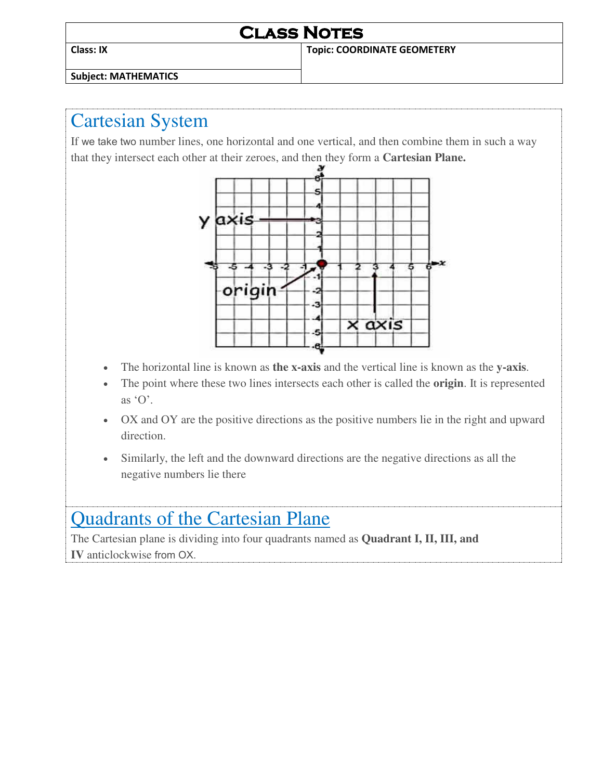### **Class Notes Class: IX Topic: COORDINATE GEOMETERY**

**Subject: MATHEMATICS** 

### Cartesian System

If we take two number lines, one horizontal and one vertical, and then combine them in such a way that they intersect each other at their zeroes, and then they form a **Cartesian Plane.**



- The horizontal line is known as **the x-axis** and the vertical line is known as the **y-axis**.
- The point where these two lines intersects each other is called the **origin**. It is represented as  $\Omega$ .
- OX and OY are the positive directions as the positive numbers lie in the right and upward direction.
- Similarly, the left and the downward directions are the negative directions as all the negative numbers lie there

## Quadrants of the Cartesian Plane

The Cartesian plane is dividing into four quadrants named as **Quadrant I, II, III, and IV** anticlockwise from OX.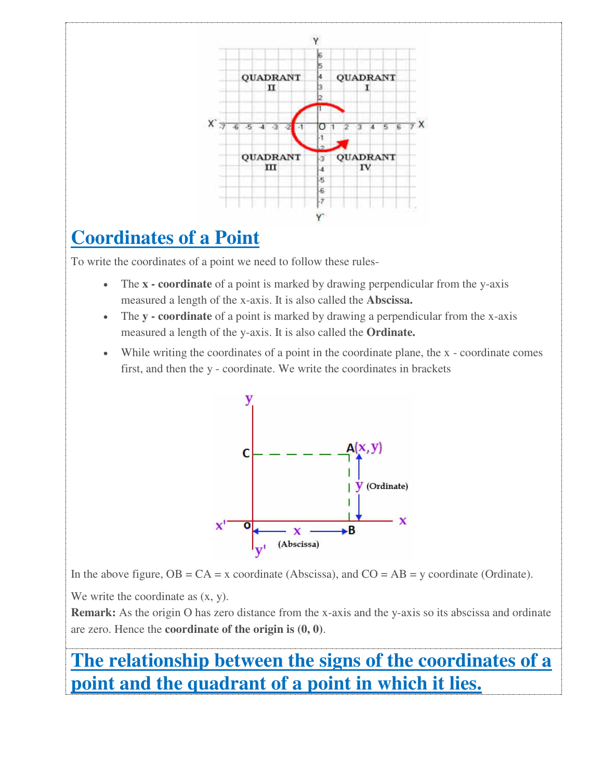

# **Coordinates of a Point**

To write the coordinates of a point we need to follow these rules-

- The **x coordinate** of a point is marked by drawing perpendicular from the y-axis measured a length of the x-axis. It is also called the **Abscissa.**
- The **y coordinate** of a point is marked by drawing a perpendicular from the x-axis measured a length of the y-axis. It is also called the **Ordinate.**
- While writing the coordinates of a point in the coordinate plane, the x coordinate comes first, and then the y - coordinate. We write the coordinates in brackets



In the above figure,  $OB = CA = x$  coordinate (Abscissa), and  $CO = AB = y$  coordinate (Ordinate).

We write the coordinate as  $(x, y)$ .

**Remark:** As the origin O has zero distance from the x-axis and the y-axis so its abscissa and ordinate are zero. Hence the **coordinate of the origin is (0, 0)**.

# **The relationship between the signs of the coordinates of a point and the quadrant of a point in which it lies.**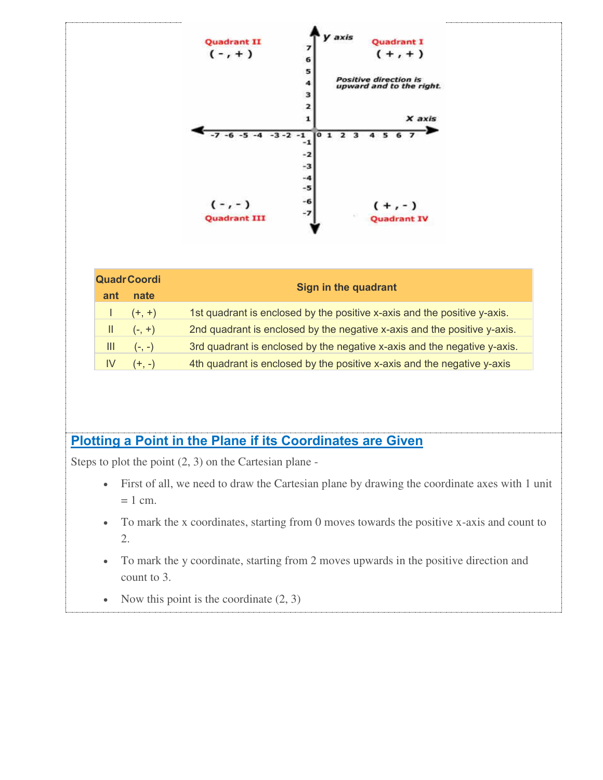

| <b>QuadrCoordi</b> |                                                             | <b>Sign in the quadrant</b>                                              |
|--------------------|-------------------------------------------------------------|--------------------------------------------------------------------------|
| ant                | nate                                                        |                                                                          |
|                    | $\left  \frac{1}{2} \right  \left( \frac{1}{2} + 1 \right)$ | 1st quadrant is enclosed by the positive x-axis and the positive y-axis. |
|                    | $  $ $(-, +)$                                               | 2nd quadrant is enclosed by the negative x-axis and the positive y-axis. |
|                    | $III$ (-, -)                                                | 3rd quadrant is enclosed by the negative x-axis and the negative y-axis. |
| IV.                | $(+,-)$                                                     | 4th quadrant is enclosed by the positive x-axis and the negative y-axis  |
|                    |                                                             |                                                                          |

#### **Plotting a Point in the Plane if its Coordinates are Given**

Steps to plot the point (2, 3) on the Cartesian plane -

- First of all, we need to draw the Cartesian plane by drawing the coordinate axes with 1 unit  $= 1$  cm.
- To mark the x coordinates, starting from 0 moves towards the positive x-axis and count to 2.
- To mark the y coordinate, starting from 2 moves upwards in the positive direction and count to 3.
- Now this point is the coordinate  $(2, 3)$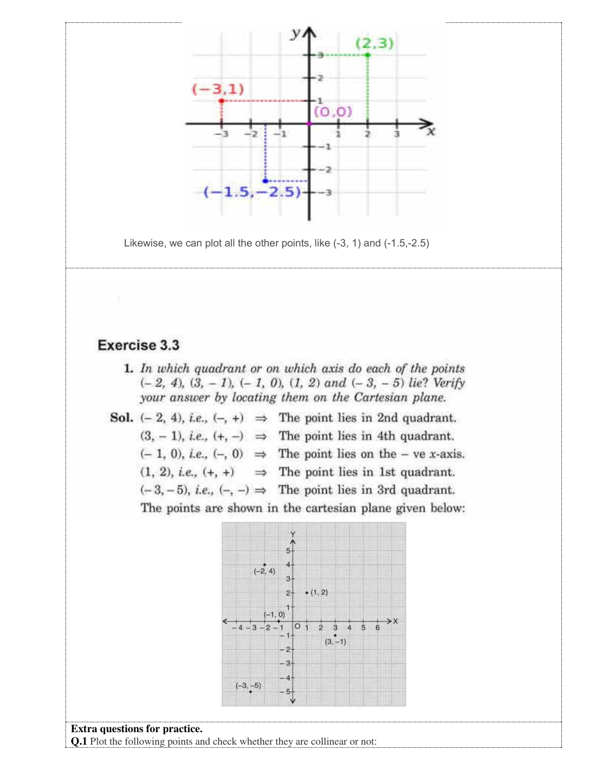

**Extra questions for practice. Q.1** Plot the following points and check whether they are collinear or not: